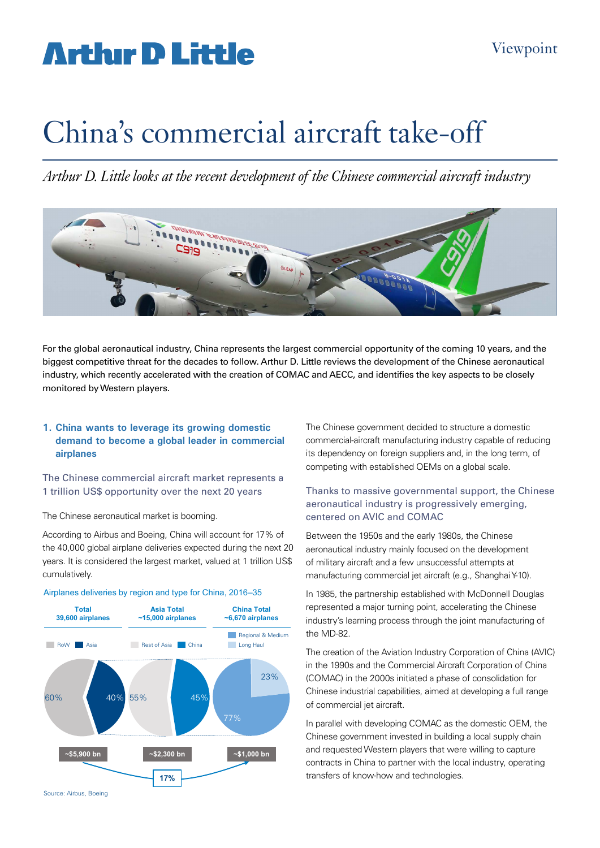# **Arthir D Little**

# China's commercial aircraft take-off

*Arthur D. Little looks at the recent development of the Chinese commercial aircraft industry*



For the global aeronautical industry, China represents the largest commercial opportunity of the coming 10 years, and the biggest competitive threat for the decades to follow. Arthur D. Little reviews the development of the Chinese aeronautical industry, which recently accelerated with the creation of COMAC and AECC, and identifies the key aspects to be closely monitored by Western players.

#### **1. China wants to leverage its growing domestic demand to become a global leader in commercial airplanes**

The Chinese commercial aircraft market represents a 1 trillion US\$ opportunity over the next 20 years

The Chinese aeronautical market is booming.

According to Airbus and Boeing, China will account for 17% of the 40,000 global airplane deliveries expected during the next 20 years. It is considered the largest market, valued at 1 trillion US\$ cumulatively.



#### Airplanes deliveries by region and type for China, 2016–35

The Chinese government decided to structure a domestic commercial-aircraft manufacturing industry capable of reducing its dependency on foreign suppliers and, in the long term, of competing with established OEMs on a global scale.

#### Thanks to massive governmental support, the Chinese aeronautical industry is progressively emerging, centered on AVIC and COMAC

Between the 1950s and the early 1980s, the Chinese aeronautical industry mainly focused on the development of military aircraft and a few unsuccessful attempts at manufacturing commercial jet aircraft (e.g., Shanghai Y-10).

In 1985, the partnership established with McDonnell Douglas represented a major turning point, accelerating the Chinese industry's learning process through the joint manufacturing of the MD-82.

The creation of the Aviation Industry Corporation of China (AVIC) in the 1990s and the Commercial Aircraft Corporation of China (COMAC) in the 2000s initiated a phase of consolidation for Chinese industrial capabilities, aimed at developing a full range of commercial jet aircraft.

In parallel with developing COMAC as the domestic OEM, the Chinese government invested in building a local supply chain and requested Western players that were willing to capture contracts in China to partner with the local industry, operating transfers of know-how and technologies.

Source: Airbus, Boeing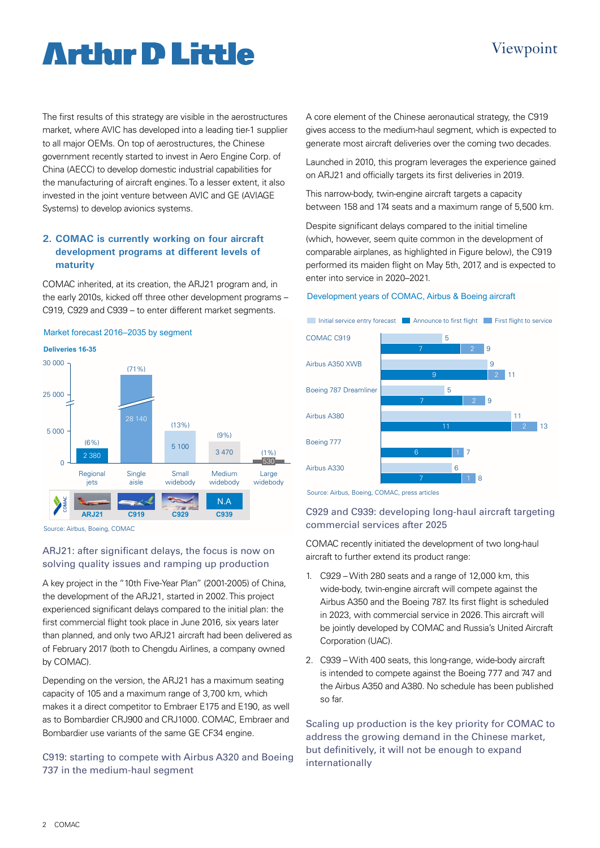# **Arthır D Little**

### The first results of this strategy are visible in the aerostructures market, where AVIC has developed into a leading tier-1 supplier to all major OEMs. On top of aerostructures, the Chinese government recently started to invest in Aero Engine Corp. of China (AECC) to develop domestic industrial capabilities for the manufacturing of aircraft engines. To a lesser extent, it also invested in the joint venture between AVIC and GE (AVIAGE Systems) to develop avionics systems.

### **2. COMAC is currently working on four aircraft development programs at different levels of maturity**

COMAC inherited, at its creation, the ARJ21 program and, in the early 2010s, kicked off three other development programs – C919, C929 and C939 – to enter different market segments.



Source: Airbus, Boeing, COMAC

### ARJ21: after significant delays, the focus is now on solving quality issues and ramping up production

A key project in the "10th Five-Year Plan" (2001-2005) of China, the development of the ARJ21, started in 2002. This project experienced significant delays compared to the initial plan: the first commercial flight took place in June 2016, six years later than planned, and only two ARJ21 aircraft had been delivered as of February 2017 (both to Chengdu Airlines, a company owned by COMAC).

Depending on the version, the ARJ21 has a maximum seating capacity of 105 and a maximum range of 3,700 km, which makes it a direct competitor to Embraer E175 and E190, as well as to Bombardier CRJ900 and CRJ1000. COMAC, Embraer and Bombardier use variants of the same GE CF34 engine.

# C919: starting to compete with Airbus A320 and Boeing 737 in the medium-haul segment

A core element of the Chinese aeronautical strategy, the C919 gives access to the medium-haul segment, which is expected to generate most aircraft deliveries over the coming two decades.

Launched in 2010, this program leverages the experience gained on ARJ21 and officially targets its first deliveries in 2019.

This narrow-body, twin-engine aircraft targets a capacity between 158 and 174 seats and a maximum range of 5,500 km.

Despite significant delays compared to the initial timeline (which, however, seem quite common in the development of comparable airplanes, as highlighted in Figure below), the C919 performed its maiden flight on May 5th, 2017, and is expected to enter into service in 2020–2021.

#### Development years of COMAC, Airbus & Boeing aircraft



Source: Airbus, Boeing, COMAC, press articles

### C929 and C939: developing long-haul aircraft targeting commercial services after 2025

COMAC recently initiated the development of two long-haul aircraft to further extend its product range:

- 1. C929 With 280 seats and a range of 12,000 km, this wide-body, twin-engine aircraft will compete against the Airbus A350 and the Boeing 787. Its first flight is scheduled in 2023, with commercial service in 2026. This aircraft will be jointly developed by COMAC and Russia's United Aircraft Corporation (UAC).
- 2. C939 With 400 seats, this long-range, wide-body aircraft is intended to compete against the Boeing 777 and 747 and the Airbus A350 and A380. No schedule has been published so far.

Scaling up production is the key priority for COMAC to address the growing demand in the Chinese market, but definitively, it will not be enough to expand internationally

# Viewpoint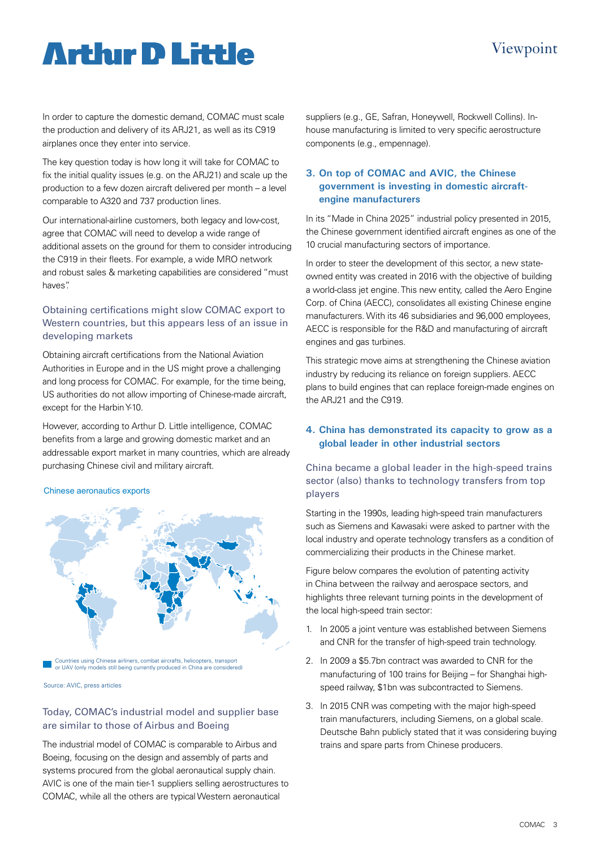# Viewpoint

# **Arthır D Little**

In order to capture the domestic demand, COMAC must scale the production and delivery of its ARJ21, as well as its C919 airplanes once they enter into service.

The key question today is how long it will take for COMAC to fix the initial quality issues (e.g. on the ARJ21) and scale up the production to a few dozen aircraft delivered per month – a level comparable to A320 and 737 production lines.

Our international-airline customers, both legacy and low-cost, agree that COMAC will need to develop a wide range of additional assets on the ground for them to consider introducing the C919 in their fleets. For example, a wide MRO network and robust sales & marketing capabilities are considered "must haves".

## Obtaining certifications might slow COMAC export to Western countries, but this appears less of an issue in developing markets

Obtaining aircraft certifications from the National Aviation Authorities in Europe and in the US might prove a challenging and long process for COMAC. For example, for the time being, US authorities do not allow importing of Chinese-made aircraft, except for the Harbin Y-10.

However, according to Arthur D. Little intelligence, COMAC benefits from a large and growing domestic market and an addressable export market in many countries, which are already purchasing Chinese civil and military aircraft.

#### Chinese aeronautics exports



Countries using Chinese airliners, combat aircrafts, helicopters, transport or UAV (only models still being currently produced in China are considered)

Source: AVIC, press articles

### Today, COMAC's industrial model and supplier base are similar to those of Airbus and Boeing

The industrial model of COMAC is comparable to Airbus and Boeing, focusing on the design and assembly of parts and systems procured from the global aeronautical supply chain. AVIC is one of the main tier-1 suppliers selling aerostructures to COMAC, while all the others are typical Western aeronautical

suppliers (e.g., GE, Safran, Honeywell, Rockwell Collins). Inhouse manufacturing is limited to very specific aerostructure components (e.g., empennage).

## **3. On top of COMAC and AVIC, the Chinese government is investing in domestic aircraftengine manufacturers**

In its "Made in China 2025" industrial policy presented in 2015, the Chinese government identified aircraft engines as one of the 10 crucial manufacturing sectors of importance.

In order to steer the development of this sector, a new stateowned entity was created in 2016 with the objective of building a world-class jet engine. This new entity, called the Aero Engine Corp. of China (AECC), consolidates all existing Chinese engine manufacturers. With its 46 subsidiaries and 96,000 employees, AECC is responsible for the R&D and manufacturing of aircraft engines and gas turbines.

This strategic move aims at strengthening the Chinese aviation industry by reducing its reliance on foreign suppliers. AECC plans to build engines that can replace foreign-made engines on the ARJ21 and the C919.

# **4. China has demonstrated its capacity to grow as a global leader in other industrial sectors**

China became a global leader in the high-speed trains sector (also) thanks to technology transfers from top players

Starting in the 1990s, leading high-speed train manufacturers such as Siemens and Kawasaki were asked to partner with the local industry and operate technology transfers as a condition of commercializing their products in the Chinese market.

Figure below compares the evolution of patenting activity in China between the railway and aerospace sectors, and highlights three relevant turning points in the development of the local high-speed train sector:

- 1. In 2005 a joint venture was established between Siemens and CNR for the transfer of high-speed train technology.
- 2. In 2009 a \$5.7bn contract was awarded to CNR for the manufacturing of 100 trains for Beijing – for Shanghai highspeed railway, \$1bn was subcontracted to Siemens.
- 3. In 2015 CNR was competing with the major high-speed train manufacturers, including Siemens, on a global scale. Deutsche Bahn publicly stated that it was considering buying trains and spare parts from Chinese producers.